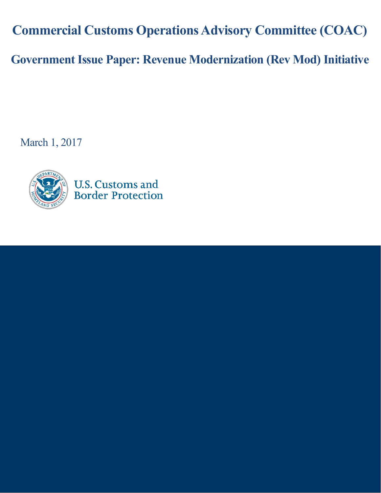**Commercial Customs Operations Advisory Committee (COAC)**

**Government Issue Paper: Revenue Modernization (Rev Mod) Initiative**

March 1, 2017



**U.S. Customs and Border Protection**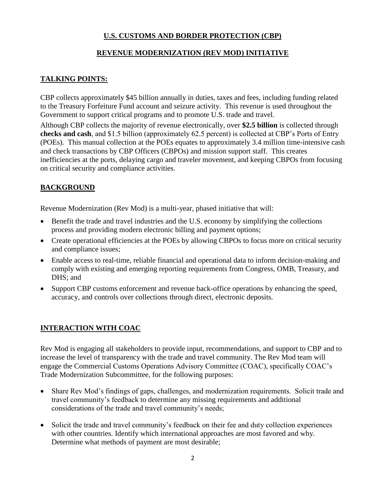# **U.S. CUSTOMS AND BORDER PROTECTION (CBP)**

### **REVENUE MODERNIZATION (REV MOD) INITIATIVE**

## **TALKING POINTS:**

CBP collects approximately \$45 billion annually in duties, taxes and fees, including funding related to the Treasury Forfeiture Fund account and seizure activity. This revenue is used throughout the Government to support critical programs and to promote U.S. trade and travel.

Although CBP collects the majority of revenue electronically, over **\$2.5 billion** is collected through **checks and cash**, and \$1.5 billion (approximately 62.5 percent) is collected at CBP's Ports of Entry (POEs). This manual collection at the POEs equates to approximately 3.4 million time-intensive cash and check transactions by CBP Officers (CBPOs) and mission support staff. This creates inefficiencies at the ports, delaying cargo and traveler movement, and keeping CBPOs from focusing on critical security and compliance activities.

## **BACKGROUND**

Revenue Modernization (Rev Mod) is a multi-year, phased initiative that will:

- Benefit the trade and travel industries and the U.S. economy by simplifying the collections process and providing modern electronic billing and payment options;
- Create operational efficiencies at the POEs by allowing CBPOs to focus more on critical security and compliance issues;
- Enable access to real-time, reliable financial and operational data to inform decision-making and comply with existing and emerging reporting requirements from Congress, OMB, Treasury, and DHS; and
- Support CBP customs enforcement and revenue back-office operations by enhancing the speed, accuracy, and controls over collections through direct, electronic deposits.

## **INTERACTION WITH COAC**

Rev Mod is engaging all stakeholders to provide input, recommendations, and support to CBP and to increase the level of transparency with the trade and travel community. The Rev Mod team will engage the Commercial Customs Operations Advisory Committee (COAC), specifically COAC's Trade Modernization Subcommittee, for the following purposes:

- Share Rev Mod's findings of gaps, challenges, and modernization requirements. Solicit trade and travel community's feedback to determine any missing requirements and additional considerations of the trade and travel community's needs;
- Solicit the trade and travel community's feedback on their fee and duty collection experiences with other countries. Identify which international approaches are most favored and why. Determine what methods of payment are most desirable;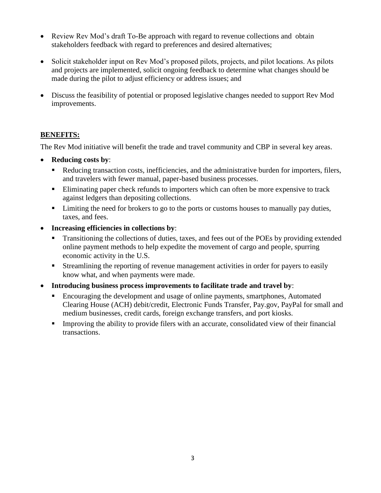- Review Rev Mod's draft To-Be approach with regard to revenue collections and obtain stakeholders feedback with regard to preferences and desired alternatives;
- Solicit stakeholder input on Rev Mod's proposed pilots, projects, and pilot locations. As pilots and projects are implemented, solicit ongoing feedback to determine what changes should be made during the pilot to adjust efficiency or address issues; and
- Discuss the feasibility of potential or proposed legislative changes needed to support Rev Mod improvements.

## **BENEFITS:**

The Rev Mod initiative will benefit the trade and travel community and CBP in several key areas.

- **Reducing costs by**:
	- Reducing transaction costs, inefficiencies, and the administrative burden for importers, filers, and travelers with fewer manual, paper-based business processes.
	- Eliminating paper check refunds to importers which can often be more expensive to track against ledgers than depositing collections.
	- **EXECUTE:** Limiting the need for brokers to go to the ports or customs houses to manually pay duties, taxes, and fees.
- **Increasing efficiencies in collections by**:
	- Transitioning the collections of duties, taxes, and fees out of the POEs by providing extended online payment methods to help expedite the movement of cargo and people, spurring economic activity in the U.S.
	- **Streamlining the reporting of revenue management activities in order for payers to easily** know what, and when payments were made.
- **Introducing business process improvements to facilitate trade and travel by**:
	- **Encouraging the development and usage of online payments, smartphones, Automated** Clearing House (ACH) debit/credit, Electronic Funds Transfer, Pay.gov, PayPal for small and medium businesses, credit cards, foreign exchange transfers, and port kiosks.
	- Improving the ability to provide filers with an accurate, consolidated view of their financial transactions.